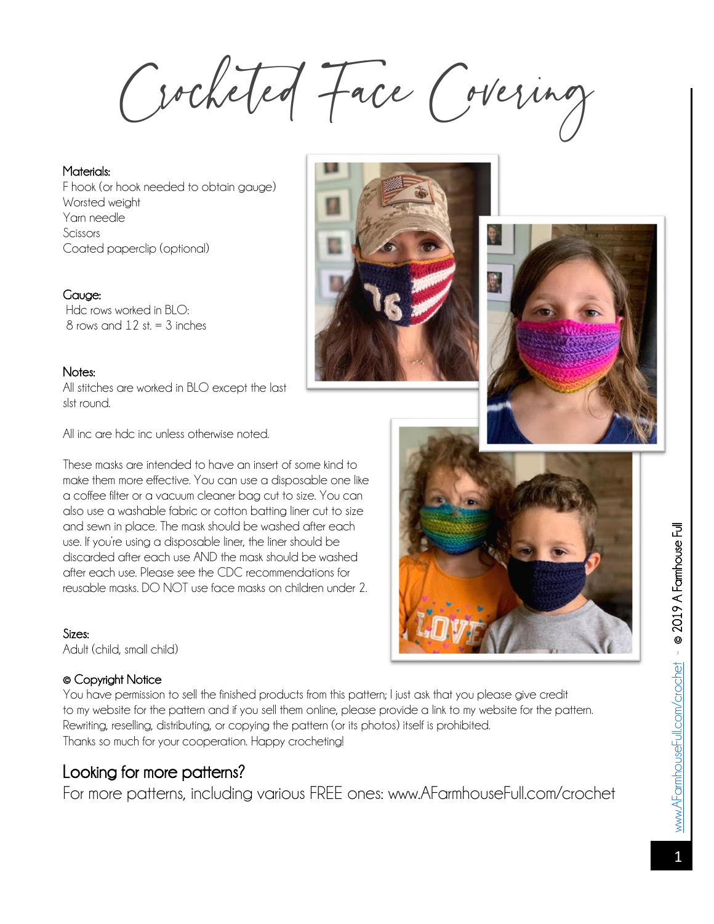Crocheted Face Covering

Materials: F hook (or hook needed to obtain gauge) Worsted weight Yarn needle Scissors Coated paperclip (optional)

## Gauge:

Hdc rows worked in BLO:  $8$  rows and  $12$  st.  $=$  3 inches

#### Notes:

All stitches are worked in BLO except the last slst round.

All inc are hdc inc unless otherwise noted.

These masks are intended to have an insert of some kind to make them more effective. You can use a disposable one like a coffee filter or a vacuum cleaner bag cut to size. You can also use a washable fabric or cotton batting liner cut to size and sewn in place. The mask should be washed after each use. If you're using a disposable liner, the liner should be discarded after each use AND the mask should be washed after each use. Please see the CDC recommendations for reusable masks. DO NOT use face masks on children under 2.

#### Sizes:

Adult (child, small child)

### © Copyright Notice

You have permission to sell the finished products from this pattern; I just ask that you please give credit to my website for the pattern and if you sell them online, please provide a link to my website for the pattern. Rewriting, reselling, distributing, or copying the pattern (or its photos) itself is prohibited. Thanks so much for your cooperation. Happy crocheting!

# Looking for more patterns?

For more patterns, including various FREE ones: www.AFarmhouseFull.com/crochet